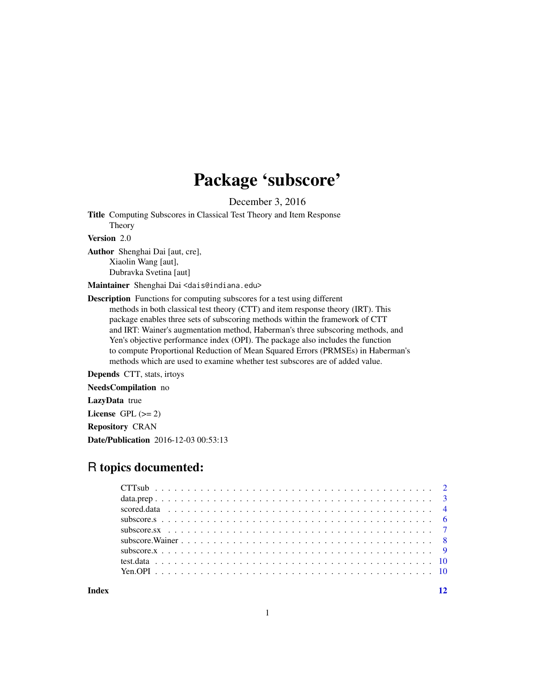## Package 'subscore'

December 3, 2016

Title Computing Subscores in Classical Test Theory and Item Response Theory

Version 2.0

Author Shenghai Dai [aut, cre], Xiaolin Wang [aut], Dubravka Svetina [aut]

Maintainer Shenghai Dai <dais@indiana.edu>

Description Functions for computing subscores for a test using different methods in both classical test theory (CTT) and item response theory (IRT). This package enables three sets of subscoring methods within the framework of CTT and IRT: Wainer's augmentation method, Haberman's three subscoring methods, and Yen's objective performance index (OPI). The package also includes the function to compute Proportional Reduction of Mean Squared Errors (PRMSEs) in Haberman's methods which are used to examine whether test subscores are of added value.

Depends CTT, stats, irtoys

NeedsCompilation no

LazyData true

License GPL  $(>= 2)$ 

Repository CRAN

Date/Publication 2016-12-03 00:53:13

### R topics documented:

| Index | 12 |
|-------|----|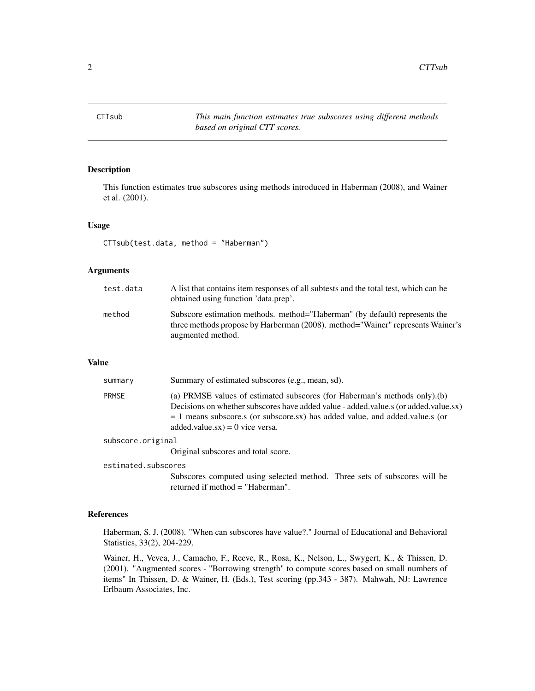<span id="page-1-0"></span>CTTsub *This main function estimates true subscores using different methods based on original CTT scores.*

#### Description

This function estimates true subscores using methods introduced in Haberman (2008), and Wainer et al. (2001).

#### Usage

CTTsub(test.data, method = "Haberman")

#### Arguments

| test.data | A list that contains item responses of all subtests and the total test, which can be<br>obtained using function 'data.prep'.                                                      |
|-----------|-----------------------------------------------------------------------------------------------------------------------------------------------------------------------------------|
| method    | Subscore estimation methods. method="Haberman" (by default) represents the<br>three methods propose by Harberman (2008). method="Wainer" represents Wainer's<br>augmented method. |

#### Value

| summary           | Summary of estimated subscores (e.g., mean, sd).                                                                                                                                                                                                                                      |
|-------------------|---------------------------------------------------------------------------------------------------------------------------------------------------------------------------------------------------------------------------------------------------------------------------------------|
| <b>PRMSE</b>      | (a) PRMSE values of estimated subscores (for Haberman's methods only).(b)<br>Decisions on whether subscores have added value - added value s (or added value sx)<br>$= 1$ means subscore.s (or subscore.sx) has added value, and added value s (or<br>added.value.sx) = 0 vice versa. |
| subscore.original |                                                                                                                                                                                                                                                                                       |

Original subscores and total score.

#### estimated.subscores

Subscores computed using selected method. Three sets of subscores will be returned if method = "Haberman".

#### References

Haberman, S. J. (2008). "When can subscores have value?." Journal of Educational and Behavioral Statistics, 33(2), 204-229.

Wainer, H., Vevea, J., Camacho, F., Reeve, R., Rosa, K., Nelson, L., Swygert, K., & Thissen, D. (2001). "Augmented scores - "Borrowing strength" to compute scores based on small numbers of items" In Thissen, D. & Wainer, H. (Eds.), Test scoring (pp.343 - 387). Mahwah, NJ: Lawrence Erlbaum Associates, Inc.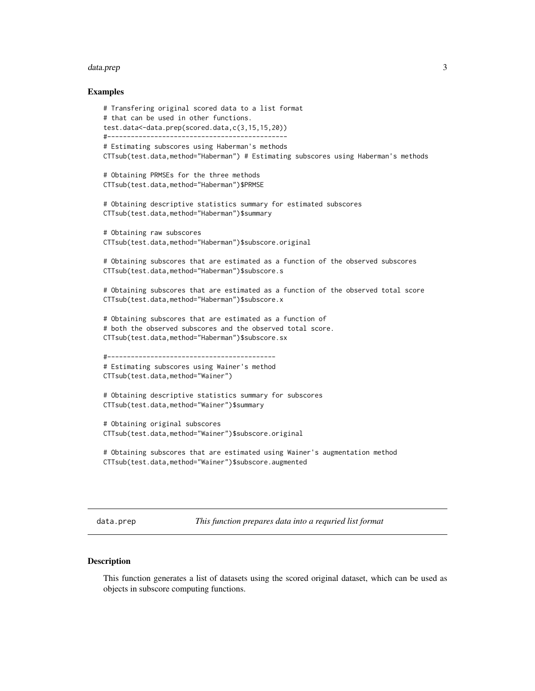#### <span id="page-2-0"></span>data.prep 3

#### Examples

```
# Transfering original scored data to a list format
# that can be used in other functions.
test.data<-data.prep(scored.data,c(3,15,15,20))
#----------------------------------------------
# Estimating subscores using Haberman's methods
CTTsub(test.data,method="Haberman") # Estimating subscores using Haberman's methods
# Obtaining PRMSEs for the three methods
CTTsub(test.data,method="Haberman")$PRMSE
# Obtaining descriptive statistics summary for estimated subscores
CTTsub(test.data,method="Haberman")$summary
# Obtaining raw subscores
CTTsub(test.data,method="Haberman")$subscore.original
# Obtaining subscores that are estimated as a function of the observed subscores
CTTsub(test.data,method="Haberman")$subscore.s
# Obtaining subscores that are estimated as a function of the observed total score
CTTsub(test.data,method="Haberman")$subscore.x
# Obtaining subscores that are estimated as a function of
# both the observed subscores and the observed total score.
CTTsub(test.data,method="Haberman")$subscore.sx
#-------------------------------------------
# Estimating subscores using Wainer's method
CTTsub(test.data,method="Wainer")
# Obtaining descriptive statistics summary for subscores
CTTsub(test.data,method="Wainer")$summary
# Obtaining original subscores
CTTsub(test.data,method="Wainer")$subscore.original
# Obtaining subscores that are estimated using Wainer's augmentation method
CTTsub(test.data,method="Wainer")$subscore.augmented
```
data.prep *This function prepares data into a requried list format*

#### Description

This function generates a list of datasets using the scored original dataset, which can be used as objects in subscore computing functions.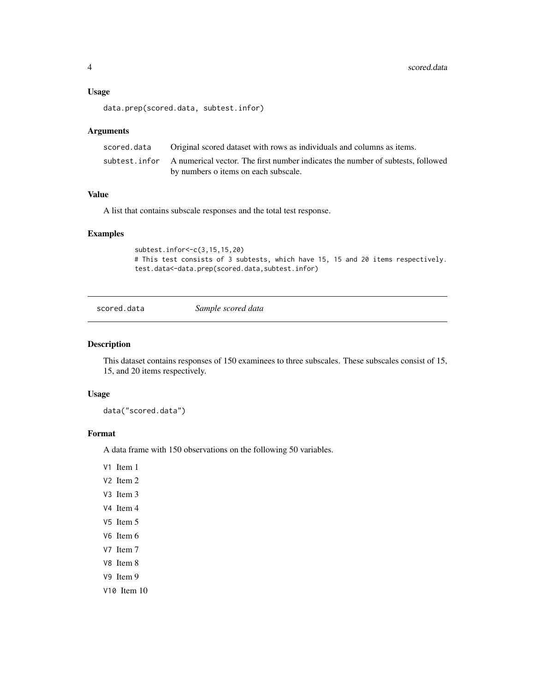#### <span id="page-3-0"></span>Usage

```
data.prep(scored.data, subtest.infor)
```
#### Arguments

| scored.data | Original scored dataset with rows as individuals and columns as items.                         |
|-------------|------------------------------------------------------------------------------------------------|
|             | subtest, infor A numerical vector. The first number indicates the number of subtests, followed |
|             | by numbers o items on each subscale.                                                           |

#### Value

A list that contains subscale responses and the total test response.

#### Examples

```
subtest.infor<-c(3,15,15,20)
# This test consists of 3 subtests, which have 15, 15 and 20 items respectively.
test.data<-data.prep(scored.data,subtest.infor)
```
scored.data *Sample scored data*

#### Description

This dataset contains responses of 150 examinees to three subscales. These subscales consist of 15, 15, and 20 items respectively.

#### Usage

data("scored.data")

#### Format

A data frame with 150 observations on the following 50 variables.

V1 Item 1

- V2 Item 2
- V3 Item 3
- V4 Item 4
- V5 Item 5
- V6 Item 6
- V7 Item 7
- V8 Item 8
- V9 Item 9
- V10 Item 10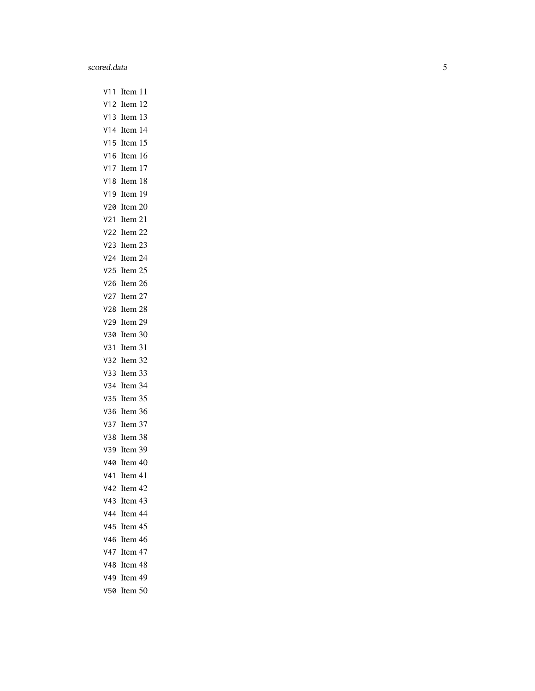V11 Item 11 V12 Item 12 V13 Item 13 V14 Item 14 V15 Item 15 V16 Item 16 V17 Item 17 V18 Item 18 V19 Item 19 V20 Item 20 V21 Item 21 V22 Item 22 V23 Item 23 V24 Item 24 V25 Item 25 V26 Item 26 V27 Item 27 V28 Item 28 V29 Item 29 V30 Item 30 V31 Item 31 V32 Item 32 V33 Item 33 V34 Item 34 V35 Item 35 V36 Item 36 V37 Item 37 V38 Item 38 V39 Item 39 V40 Item 40 V41 Item 41 V42 Item 42 V43 Item 43 V44 Item 44 V45 Item 45 V46 Item 46 V47 Item 47 V48 Item 48 V49 Item 49 V50 Item 50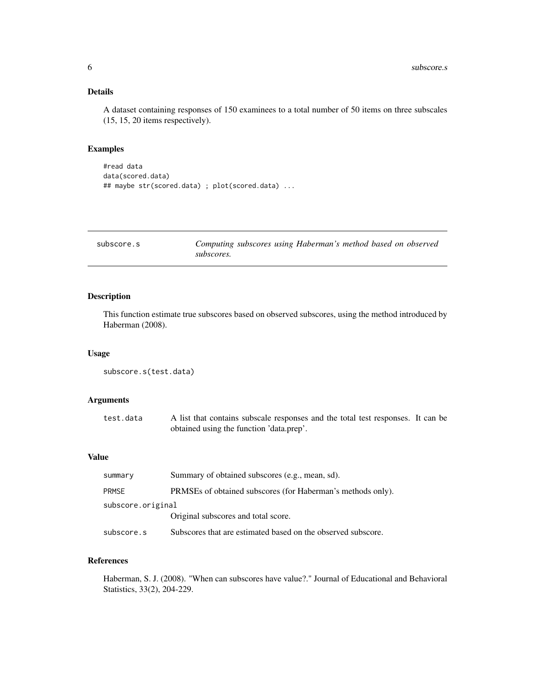#### <span id="page-5-0"></span>Details

A dataset containing responses of 150 examinees to a total number of 50 items on three subscales (15, 15, 20 items respectively).

#### Examples

```
#read data
data(scored.data)
## maybe str(scored.data) ; plot(scored.data) ...
```

| subscore.s | Computing subscores using Haberman's method based on observed |
|------------|---------------------------------------------------------------|
|            | subscores.                                                    |

#### Description

This function estimate true subscores based on observed subscores, using the method introduced by Haberman (2008).

#### Usage

```
subscore.s(test.data)
```
#### Arguments

| test.data | A list that contains subscale responses and the total test responses. It can be |  |
|-----------|---------------------------------------------------------------------------------|--|
|           | obtained using the function 'data.prep'.                                        |  |

#### Value

| summary           | Summary of obtained subscores (e.g., mean, sd).              |
|-------------------|--------------------------------------------------------------|
| <b>PRMSE</b>      | PRMSEs of obtained subscores (for Haberman's methods only).  |
| subscore.original |                                                              |
|                   | Original subscores and total score.                          |
| subscore.s        | Subscores that are estimated based on the observed subscore. |

#### References

Haberman, S. J. (2008). "When can subscores have value?." Journal of Educational and Behavioral Statistics, 33(2), 204-229.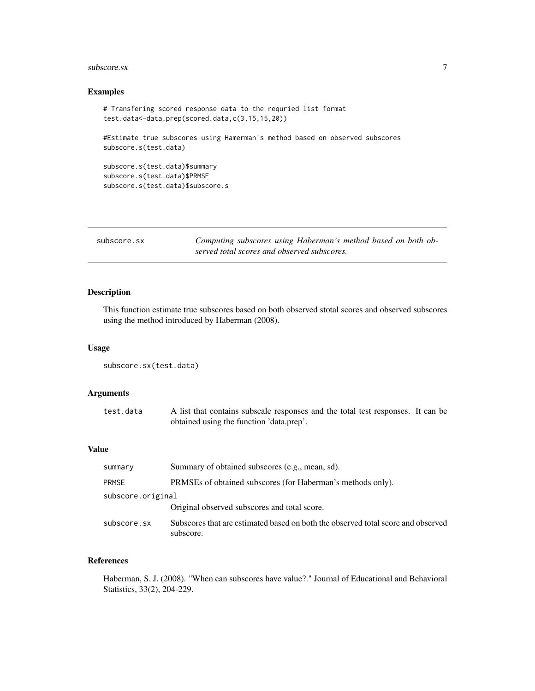#### <span id="page-6-0"></span> $\frac{1}{3}$ subscore.sx  $\frac{1}{3}$

#### Examples

```
# Transfering scored response data to the requried list format
test.data<-data.prep(scored.data,c(3,15,15,20))
```
#Estimate true subscores using Hamerman's method based on observed subscores subscore.s(test.data)

```
subscore.s(test.data)$summary
subscore.s(test.data)$PRMSE
subscore.s(test.data)$subscore.s
```

| subscore.sx | Computing subscores using Haberman's method based on both ob- |
|-------------|---------------------------------------------------------------|
|             | served total scores and observed subscores.                   |

#### Description

This function estimate true subscores based on both observed stotal scores and observed subscores using the method introduced by Haberman (2008).

#### Usage

```
subscore.sx(test.data)
```
#### Arguments

| test.data | A list that contains subscale responses and the total test responses. It can be |  |
|-----------|---------------------------------------------------------------------------------|--|
|           | obtained using the function 'data.prep'.                                        |  |

#### Value

| summary           | Summary of obtained subscores (e.g., mean, sd).                                               |
|-------------------|-----------------------------------------------------------------------------------------------|
| <b>PRMSE</b>      | PRMSEs of obtained subscores (for Haberman's methods only).                                   |
| subscore.original | Original observed subscores and total score.                                                  |
| subscore.sx       | Subscores that are estimated based on both the observed total score and observed<br>subscore. |

#### References

Haberman, S. J. (2008). "When can subscores have value?." Journal of Educational and Behavioral Statistics, 33(2), 204-229.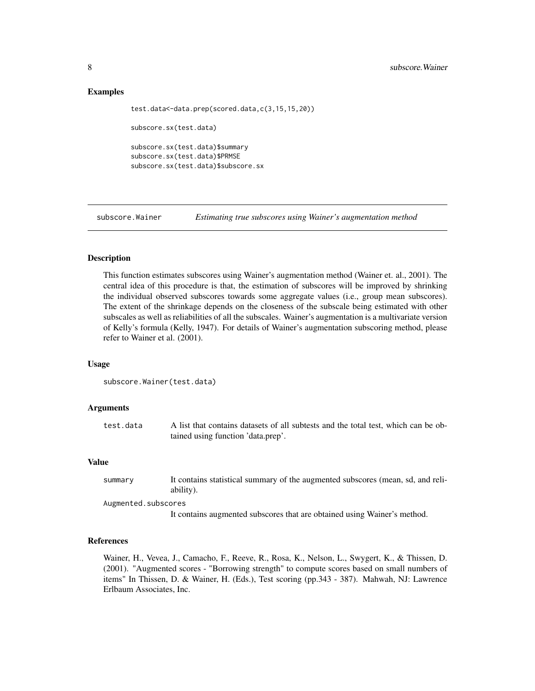#### Examples

```
test.data<-data.prep(scored.data,c(3,15,15,20))
subscore.sx(test.data)
subscore.sx(test.data)$summary
subscore.sx(test.data)$PRMSE
subscore.sx(test.data)$subscore.sx
```
subscore.Wainer *Estimating true subscores using Wainer's augmentation method*

#### **Description**

This function estimates subscores using Wainer's augmentation method (Wainer et. al., 2001). The central idea of this procedure is that, the estimation of subscores will be improved by shrinking the individual observed subscores towards some aggregate values (i.e., group mean subscores). The extent of the shrinkage depends on the closeness of the subscale being estimated with other subscales as well as reliabilities of all the subscales. Wainer's augmentation is a multivariate version of Kelly's formula (Kelly, 1947). For details of Wainer's augmentation subscoring method, please refer to Wainer et al. (2001).

#### Usage

```
subscore.Wainer(test.data)
```
#### Arguments

```
test.data A list that contains datasets of all subtests and the total test, which can be ob-
                  tained using function 'data.prep'.
```
#### Value

```
summary It contains statistical summary of the augmented subscores (mean, sd, and reli-
                 ability).
```
Augmented.subscores

It contains augmented subscores that are obtained using Wainer's method.

#### References

Wainer, H., Vevea, J., Camacho, F., Reeve, R., Rosa, K., Nelson, L., Swygert, K., & Thissen, D. (2001). "Augmented scores - "Borrowing strength" to compute scores based on small numbers of items" In Thissen, D. & Wainer, H. (Eds.), Test scoring (pp.343 - 387). Mahwah, NJ: Lawrence Erlbaum Associates, Inc.

<span id="page-7-0"></span>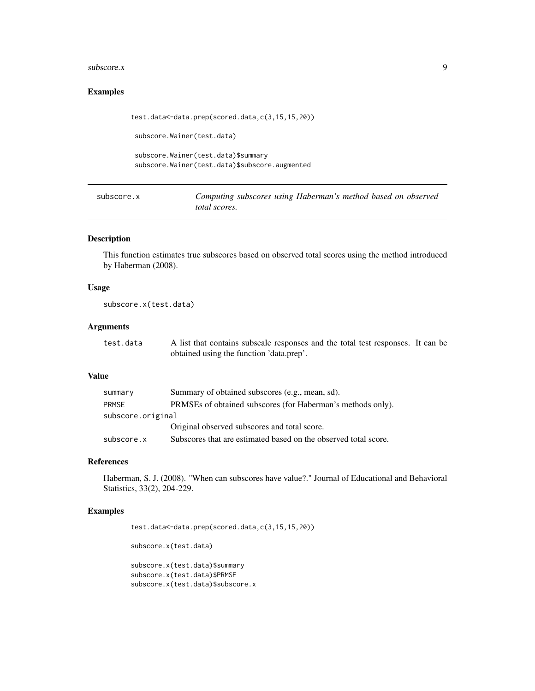#### <span id="page-8-0"></span> $\omega$ subscore.x 9

#### Examples

```
test.data<-data.prep(scored.data,c(3,15,15,20))
```
subscore.Wainer(test.data)

```
subscore.Wainer(test.data)$summary
subscore.Wainer(test.data)$subscore.augmented
```
subscore.x *Computing subscores using Haberman's method based on observed total scores.*

#### Description

This function estimates true subscores based on observed total scores using the method introduced by Haberman (2008).

#### Usage

subscore.x(test.data)

#### Arguments

| test.data | A list that contains subscale responses and the total test responses. It can be |  |
|-----------|---------------------------------------------------------------------------------|--|
|           | obtained using the function 'data.prep'.                                        |  |

#### Value

| summary           | Summary of obtained subscores (e.g., mean, sd).                 |
|-------------------|-----------------------------------------------------------------|
| <b>PRMSE</b>      | PRMSEs of obtained subscores (for Haberman's methods only).     |
| subscore.original |                                                                 |
|                   | Original observed subscores and total score.                    |
| subscore.x        | Subscores that are estimated based on the observed total score. |

#### References

Haberman, S. J. (2008). "When can subscores have value?." Journal of Educational and Behavioral Statistics, 33(2), 204-229.

#### Examples

test.data<-data.prep(scored.data,c(3,15,15,20))

subscore.x(test.data)

subscore.x(test.data)\$summary subscore.x(test.data)\$PRMSE subscore.x(test.data)\$subscore.x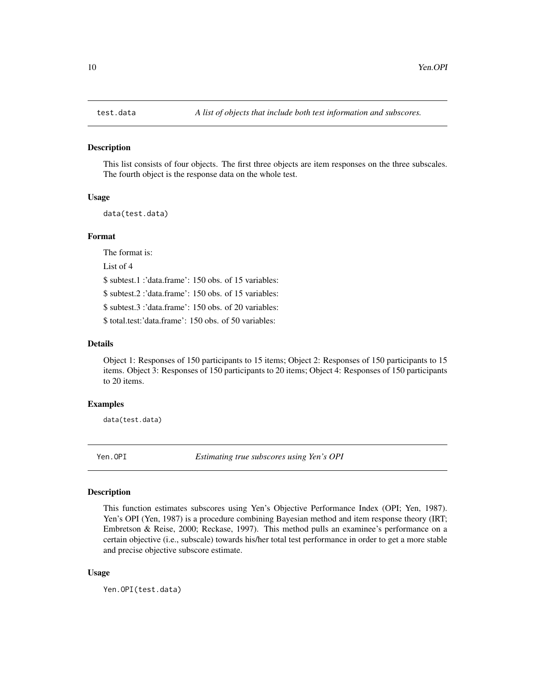<span id="page-9-0"></span>

#### Description

This list consists of four objects. The first three objects are item responses on the three subscales. The fourth object is the response data on the whole test.

#### Usage

data(test.data)

#### Format

The format is:

List of 4

\$ subtest.1 :'data.frame': 150 obs. of 15 variables:

\$ subtest.2 :'data.frame': 150 obs. of 15 variables:

\$ subtest.3 :'data.frame': 150 obs. of 20 variables:

\$ total.test:'data.frame': 150 obs. of 50 variables:

#### Details

Object 1: Responses of 150 participants to 15 items; Object 2: Responses of 150 participants to 15 items. Object 3: Responses of 150 participants to 20 items; Object 4: Responses of 150 participants to 20 items.

#### Examples

data(test.data)

Yen.OPI *Estimating true subscores using Yen's OPI*

#### Description

This function estimates subscores using Yen's Objective Performance Index (OPI; Yen, 1987). Yen's OPI (Yen, 1987) is a procedure combining Bayesian method and item response theory (IRT; Embretson & Reise, 2000; Reckase, 1997). This method pulls an examinee's performance on a certain objective (i.e., subscale) towards his/her total test performance in order to get a more stable and precise objective subscore estimate.

#### Usage

Yen.OPI(test.data)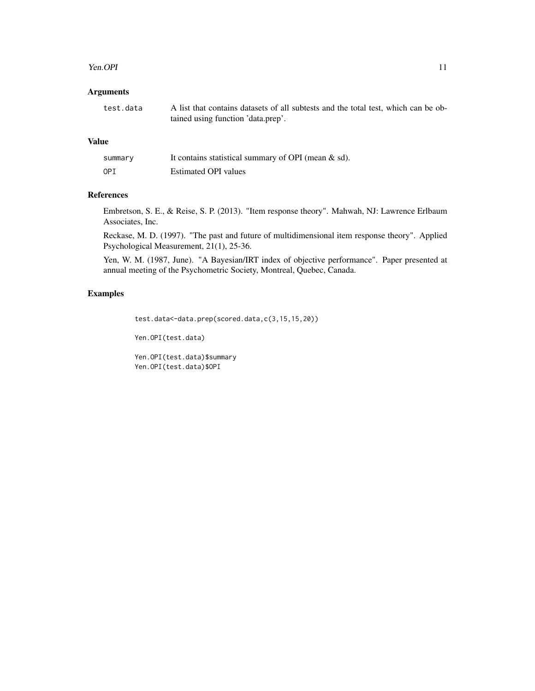#### Yen.OPI 11

#### Arguments

| test.data | A list that contains datasets of all subtests and the total test, which can be ob- |
|-----------|------------------------------------------------------------------------------------|
|           | tained using function 'data.prep'.                                                 |

#### Value

| summary | It contains statistical summary of OPI (mean $\&$ sd). |
|---------|--------------------------------------------------------|
| OPI     | <b>Estimated OPI</b> values                            |

#### References

Embretson, S. E., & Reise, S. P. (2013). "Item response theory". Mahwah, NJ: Lawrence Erlbaum Associates, Inc.

Reckase, M. D. (1997). "The past and future of multidimensional item response theory". Applied Psychological Measurement, 21(1), 25-36.

Yen, W. M. (1987, June). "A Bayesian/IRT index of objective performance". Paper presented at annual meeting of the Psychometric Society, Montreal, Quebec, Canada.

#### Examples

```
test.data<-data.prep(scored.data,c(3,15,15,20))
```
Yen.OPI(test.data)

Yen.OPI(test.data)\$summary Yen.OPI(test.data)\$OPI